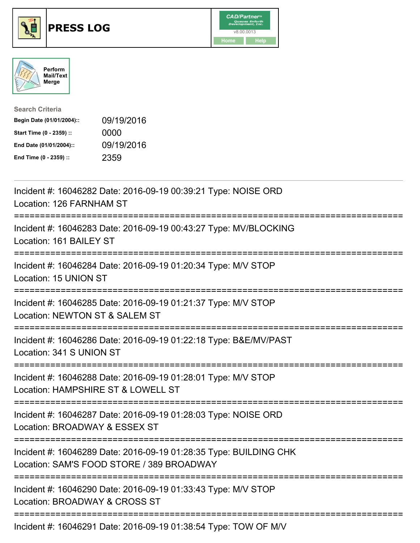





| <b>Search Criteria</b>    |            |
|---------------------------|------------|
| Begin Date (01/01/2004):: | 09/19/2016 |
| Start Time (0 - 2359) ::  | 0000       |
| End Date (01/01/2004)::   | 09/19/2016 |
| End Time (0 - 2359) ::    | 2359       |

| Incident #: 16046282 Date: 2016-09-19 00:39:21 Type: NOISE ORD<br>Location: 126 FARNHAM ST                                            |
|---------------------------------------------------------------------------------------------------------------------------------------|
| Incident #: 16046283 Date: 2016-09-19 00:43:27 Type: MV/BLOCKING<br>Location: 161 BAILEY ST<br>===============<br>:==============     |
| Incident #: 16046284 Date: 2016-09-19 01:20:34 Type: M/V STOP<br>Location: 15 UNION ST                                                |
| Incident #: 16046285 Date: 2016-09-19 01:21:37 Type: M/V STOP<br>Location: NEWTON ST & SALEM ST                                       |
| Incident #: 16046286 Date: 2016-09-19 01:22:18 Type: B&E/MV/PAST<br>Location: 341 S UNION ST<br>===================================== |
| Incident #: 16046288 Date: 2016-09-19 01:28:01 Type: M/V STOP<br>Location: HAMPSHIRE ST & LOWELL ST<br>:=======================       |
| Incident #: 16046287 Date: 2016-09-19 01:28:03 Type: NOISE ORD<br>Location: BROADWAY & ESSEX ST                                       |
| Incident #: 16046289 Date: 2016-09-19 01:28:35 Type: BUILDING CHK<br>Location: SAM'S FOOD STORE / 389 BROADWAY                        |
| Incident #: 16046290 Date: 2016-09-19 01:33:43 Type: M/V STOP<br>Location: BROADWAY & CROSS ST                                        |
|                                                                                                                                       |

Incident #: 16046291 Date: 2016-09-19 01:38:54 Type: TOW OF M/V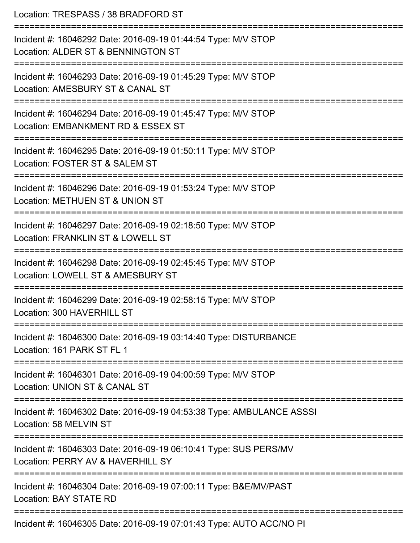| Location: TRESPASS / 38 BRADFORD ST                                                                                               |
|-----------------------------------------------------------------------------------------------------------------------------------|
| Incident #: 16046292 Date: 2016-09-19 01:44:54 Type: M/V STOP<br>Location: ALDER ST & BENNINGTON ST                               |
| Incident #: 16046293 Date: 2016-09-19 01:45:29 Type: M/V STOP<br>Location: AMESBURY ST & CANAL ST                                 |
| Incident #: 16046294 Date: 2016-09-19 01:45:47 Type: M/V STOP<br>Location: EMBANKMENT RD & ESSEX ST                               |
| ==============================<br>Incident #: 16046295 Date: 2016-09-19 01:50:11 Type: M/V STOP<br>Location: FOSTER ST & SALEM ST |
| Incident #: 16046296 Date: 2016-09-19 01:53:24 Type: M/V STOP<br>Location: METHUEN ST & UNION ST                                  |
| Incident #: 16046297 Date: 2016-09-19 02:18:50 Type: M/V STOP<br>Location: FRANKLIN ST & LOWELL ST                                |
| Incident #: 16046298 Date: 2016-09-19 02:45:45 Type: M/V STOP<br>Location: LOWELL ST & AMESBURY ST                                |
| Incident #: 16046299 Date: 2016-09-19 02:58:15 Type: M/V STOP<br>Location: 300 HAVERHILL ST                                       |
| Incident #: 16046300 Date: 2016-09-19 03:14:40 Type: DISTURBANCE<br>Location: 161 PARK ST FL 1                                    |
| Incident #: 16046301 Date: 2016-09-19 04:00:59 Type: M/V STOP<br>Location: UNION ST & CANAL ST                                    |
| Incident #: 16046302 Date: 2016-09-19 04:53:38 Type: AMBULANCE ASSSI<br>Location: 58 MELVIN ST                                    |
| Incident #: 16046303 Date: 2016-09-19 06:10:41 Type: SUS PERS/MV<br>Location: PERRY AV & HAVERHILL SY                             |
| Incident #: 16046304 Date: 2016-09-19 07:00:11 Type: B&E/MV/PAST<br>Location: BAY STATE RD                                        |
| Incident #: 16046305 Date: 2016-09-19 07:01:43 Type: AUTO ACC/NO PI                                                               |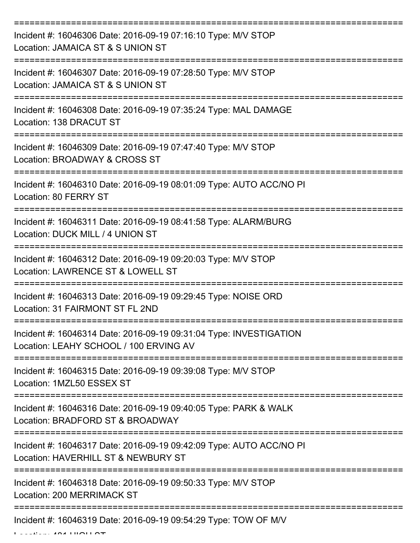| Incident #: 16046306 Date: 2016-09-19 07:16:10 Type: M/V STOP<br>Location: JAMAICA ST & S UNION ST           |
|--------------------------------------------------------------------------------------------------------------|
| Incident #: 16046307 Date: 2016-09-19 07:28:50 Type: M/V STOP<br>Location: JAMAICA ST & S UNION ST           |
| Incident #: 16046308 Date: 2016-09-19 07:35:24 Type: MAL DAMAGE<br>Location: 138 DRACUT ST                   |
| Incident #: 16046309 Date: 2016-09-19 07:47:40 Type: M/V STOP<br>Location: BROADWAY & CROSS ST               |
| Incident #: 16046310 Date: 2016-09-19 08:01:09 Type: AUTO ACC/NO PI<br>Location: 80 FERRY ST                 |
| Incident #: 16046311 Date: 2016-09-19 08:41:58 Type: ALARM/BURG<br>Location: DUCK MILL / 4 UNION ST          |
| Incident #: 16046312 Date: 2016-09-19 09:20:03 Type: M/V STOP<br>Location: LAWRENCE ST & LOWELL ST           |
| Incident #: 16046313 Date: 2016-09-19 09:29:45 Type: NOISE ORD<br>Location: 31 FAIRMONT ST FL 2ND            |
| Incident #: 16046314 Date: 2016-09-19 09:31:04 Type: INVESTIGATION<br>Location: LEAHY SCHOOL / 100 ERVING AV |
| Incident #: 16046315 Date: 2016-09-19 09:39:08 Type: M/V STOP<br>Location: 1MZL50 ESSEX ST                   |
| Incident #: 16046316 Date: 2016-09-19 09:40:05 Type: PARK & WALK<br>Location: BRADFORD ST & BROADWAY         |
| Incident #: 16046317 Date: 2016-09-19 09:42:09 Type: AUTO ACC/NO PI<br>Location: HAVERHILL ST & NEWBURY ST   |
| Incident #: 16046318 Date: 2016-09-19 09:50:33 Type: M/V STOP<br><b>Location: 200 MERRIMACK ST</b>           |
| Incident #: 16046319 Date: 2016-09-19 09:54:29 Type: TOW OF M/V                                              |

 $L = L$   $L = L$   $\alpha$  484 HIGH ST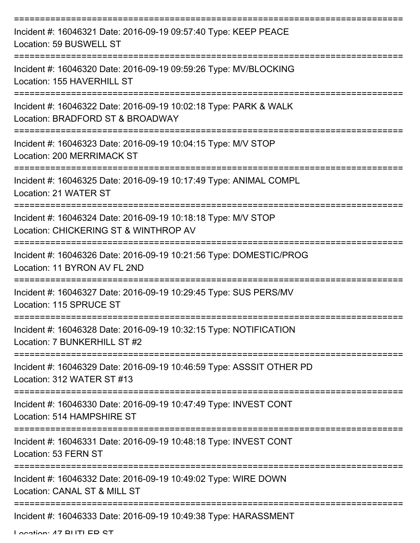| Incident #: 16046321 Date: 2016-09-19 09:57:40 Type: KEEP PEACE<br>Location: 59 BUSWELL ST             |
|--------------------------------------------------------------------------------------------------------|
| Incident #: 16046320 Date: 2016-09-19 09:59:26 Type: MV/BLOCKING<br>Location: 155 HAVERHILL ST         |
| Incident #: 16046322 Date: 2016-09-19 10:02:18 Type: PARK & WALK<br>Location: BRADFORD ST & BROADWAY   |
| Incident #: 16046323 Date: 2016-09-19 10:04:15 Type: M/V STOP<br>Location: 200 MERRIMACK ST            |
| Incident #: 16046325 Date: 2016-09-19 10:17:49 Type: ANIMAL COMPL<br>Location: 21 WATER ST             |
| Incident #: 16046324 Date: 2016-09-19 10:18:18 Type: M/V STOP<br>Location: CHICKERING ST & WINTHROP AV |
| Incident #: 16046326 Date: 2016-09-19 10:21:56 Type: DOMESTIC/PROG<br>Location: 11 BYRON AV FL 2ND     |
| Incident #: 16046327 Date: 2016-09-19 10:29:45 Type: SUS PERS/MV<br>Location: 115 SPRUCE ST            |
| Incident #: 16046328 Date: 2016-09-19 10:32:15 Type: NOTIFICATION<br>Location: 7 BUNKERHILL ST #2      |
| Incident #: 16046329 Date: 2016-09-19 10:46:59 Type: ASSSIT OTHER PD<br>Location: 312 WATER ST #13     |
| Incident #: 16046330 Date: 2016-09-19 10:47:49 Type: INVEST CONT<br>Location: 514 HAMPSHIRE ST         |
| Incident #: 16046331 Date: 2016-09-19 10:48:18 Type: INVEST CONT<br>Location: 53 FERN ST               |
| Incident #: 16046332 Date: 2016-09-19 10:49:02 Type: WIRE DOWN<br>Location: CANAL ST & MILL ST         |
| Incident #: 16046333 Date: 2016-09-19 10:49:38 Type: HARASSMENT                                        |

Location: 47 BUTLED CT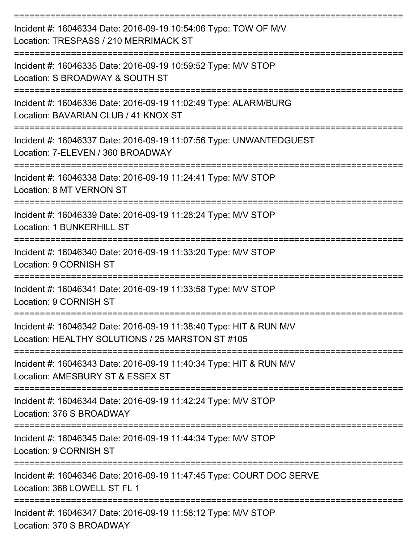| Incident #: 16046334 Date: 2016-09-19 10:54:06 Type: TOW OF M/V<br>Location: TRESPASS / 210 MERRIMACK ST                                    |
|---------------------------------------------------------------------------------------------------------------------------------------------|
| Incident #: 16046335 Date: 2016-09-19 10:59:52 Type: M/V STOP<br>Location: S BROADWAY & SOUTH ST                                            |
| Incident #: 16046336 Date: 2016-09-19 11:02:49 Type: ALARM/BURG<br>Location: BAVARIAN CLUB / 41 KNOX ST                                     |
| Incident #: 16046337 Date: 2016-09-19 11:07:56 Type: UNWANTEDGUEST<br>Location: 7-ELEVEN / 360 BROADWAY                                     |
| Incident #: 16046338 Date: 2016-09-19 11:24:41 Type: M/V STOP<br>Location: 8 MT VERNON ST                                                   |
| Incident #: 16046339 Date: 2016-09-19 11:28:24 Type: M/V STOP<br>Location: 1 BUNKERHILL ST                                                  |
| Incident #: 16046340 Date: 2016-09-19 11:33:20 Type: M/V STOP<br>Location: 9 CORNISH ST                                                     |
| Incident #: 16046341 Date: 2016-09-19 11:33:58 Type: M/V STOP<br>Location: 9 CORNISH ST                                                     |
| Incident #: 16046342 Date: 2016-09-19 11:38:40 Type: HIT & RUN M/V<br>Location: HEALTHY SOLUTIONS / 25 MARSTON ST #105<br>----------------- |
| Incident #: 16046343 Date: 2016-09-19 11:40:34 Type: HIT & RUN M/V<br>Location: AMESBURY ST & ESSEX ST                                      |
| Incident #: 16046344 Date: 2016-09-19 11:42:24 Type: M/V STOP<br>Location: 376 S BROADWAY                                                   |
| Incident #: 16046345 Date: 2016-09-19 11:44:34 Type: M/V STOP<br>Location: 9 CORNISH ST                                                     |
| Incident #: 16046346 Date: 2016-09-19 11:47:45 Type: COURT DOC SERVE<br>Location: 368 LOWELL ST FL 1                                        |
| Incident #: 16046347 Date: 2016-09-19 11:58:12 Type: M/V STOP<br>Location: 370 S BROADWAY                                                   |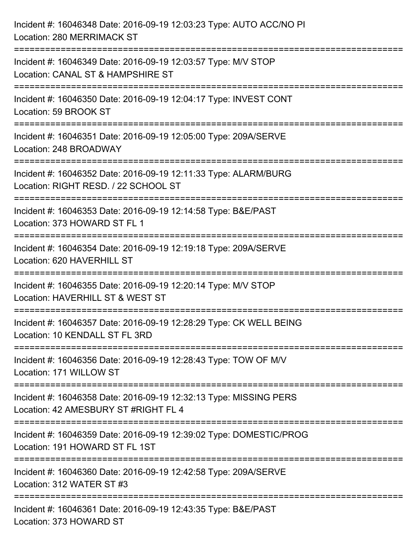| Incident #: 16046348 Date: 2016-09-19 12:03:23 Type: AUTO ACC/NO PI<br>Location: 280 MERRIMACK ST                                  |
|------------------------------------------------------------------------------------------------------------------------------------|
| :====================<br>Incident #: 16046349 Date: 2016-09-19 12:03:57 Type: M/V STOP<br>Location: CANAL ST & HAMPSHIRE ST        |
| Incident #: 16046350 Date: 2016-09-19 12:04:17 Type: INVEST CONT<br>Location: 59 BROOK ST                                          |
| Incident #: 16046351 Date: 2016-09-19 12:05:00 Type: 209A/SERVE<br>Location: 248 BROADWAY                                          |
| Incident #: 16046352 Date: 2016-09-19 12:11:33 Type: ALARM/BURG<br>Location: RIGHT RESD. / 22 SCHOOL ST<br>----------------------- |
| Incident #: 16046353 Date: 2016-09-19 12:14:58 Type: B&E/PAST<br>Location: 373 HOWARD ST FL 1                                      |
| Incident #: 16046354 Date: 2016-09-19 12:19:18 Type: 209A/SERVE<br>Location: 620 HAVERHILL ST<br>================================  |
| Incident #: 16046355 Date: 2016-09-19 12:20:14 Type: M/V STOP<br>Location: HAVERHILL ST & WEST ST                                  |
| Incident #: 16046357 Date: 2016-09-19 12:28:29 Type: CK WELL BEING<br>Location: 10 KENDALL ST FL 3RD                               |
| Incident #: 16046356 Date: 2016-09-19 12:28:43 Type: TOW OF M/V<br>Location: 171 WILLOW ST                                         |
| Incident #: 16046358 Date: 2016-09-19 12:32:13 Type: MISSING PERS<br>Location: 42 AMESBURY ST #RIGHT FL 4                          |
| Incident #: 16046359 Date: 2016-09-19 12:39:02 Type: DOMESTIC/PROG<br>Location: 191 HOWARD ST FL 1ST                               |
| Incident #: 16046360 Date: 2016-09-19 12:42:58 Type: 209A/SERVE<br>Location: 312 WATER ST #3                                       |
| Incident #: 16046361 Date: 2016-09-19 12:43:35 Type: B&E/PAST<br>Location: 373 HOWARD ST                                           |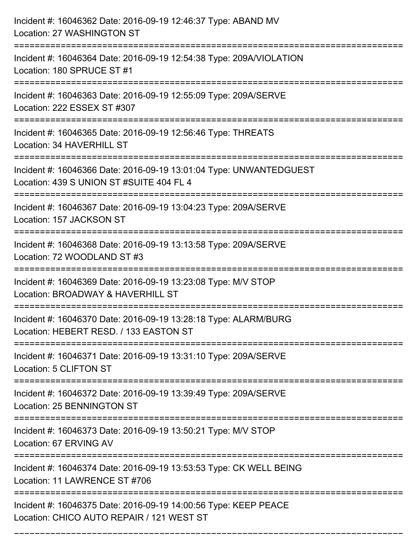| Incident #: 16046362 Date: 2016-09-19 12:46:37 Type: ABAND MV<br>Location: 27 WASHINGTON ST                                               |
|-------------------------------------------------------------------------------------------------------------------------------------------|
| Incident #: 16046364 Date: 2016-09-19 12:54:38 Type: 209A/VIOLATION<br>Location: 180 SPRUCE ST #1                                         |
| Incident #: 16046363 Date: 2016-09-19 12:55:09 Type: 209A/SERVE<br>Location: 222 ESSEX ST #307                                            |
| Incident #: 16046365 Date: 2016-09-19 12:56:46 Type: THREATS<br>Location: 34 HAVERHILL ST                                                 |
| Incident #: 16046366 Date: 2016-09-19 13:01:04 Type: UNWANTEDGUEST<br>Location: 439 S UNION ST #SUITE 404 FL 4<br>======================= |
| Incident #: 16046367 Date: 2016-09-19 13:04:23 Type: 209A/SERVE<br>Location: 157 JACKSON ST                                               |
| Incident #: 16046368 Date: 2016-09-19 13:13:58 Type: 209A/SERVE<br>Location: 72 WOODLAND ST #3                                            |
| Incident #: 16046369 Date: 2016-09-19 13:23:08 Type: M/V STOP<br>Location: BROADWAY & HAVERHILL ST                                        |
| Incident #: 16046370 Date: 2016-09-19 13:28:18 Type: ALARM/BURG<br>Location: HEBERT RESD. / 133 EASTON ST                                 |
| Incident #: 16046371 Date: 2016-09-19 13:31:10 Type: 209A/SERVE<br>Location: 5 CLIFTON ST                                                 |
| Incident #: 16046372 Date: 2016-09-19 13:39:49 Type: 209A/SERVE<br>Location: 25 BENNINGTON ST                                             |
| Incident #: 16046373 Date: 2016-09-19 13:50:21 Type: M/V STOP<br>Location: 67 ERVING AV                                                   |
| Incident #: 16046374 Date: 2016-09-19 13:53:53 Type: CK WELL BEING<br>Location: 11 LAWRENCE ST #706                                       |
| Incident #: 16046375 Date: 2016-09-19 14:00:56 Type: KEEP PEACE<br>Location: CHICO AUTO REPAIR / 121 WEST ST                              |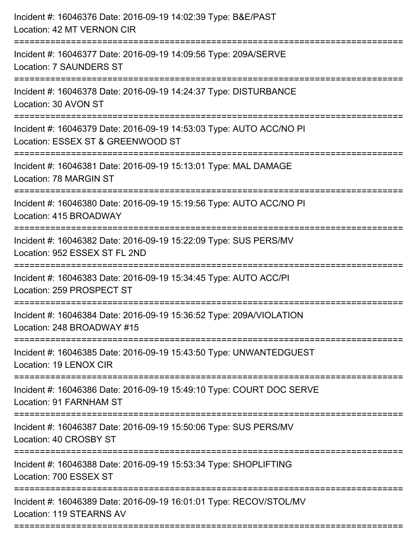| Incident #: 16046376 Date: 2016-09-19 14:02:39 Type: B&E/PAST<br>Location: 42 MT VERNON CIR              |
|----------------------------------------------------------------------------------------------------------|
| Incident #: 16046377 Date: 2016-09-19 14:09:56 Type: 209A/SERVE<br><b>Location: 7 SAUNDERS ST</b>        |
| Incident #: 16046378 Date: 2016-09-19 14:24:37 Type: DISTURBANCE<br>Location: 30 AVON ST                 |
| Incident #: 16046379 Date: 2016-09-19 14:53:03 Type: AUTO ACC/NO PI<br>Location: ESSEX ST & GREENWOOD ST |
| Incident #: 16046381 Date: 2016-09-19 15:13:01 Type: MAL DAMAGE<br>Location: 78 MARGIN ST                |
| Incident #: 16046380 Date: 2016-09-19 15:19:56 Type: AUTO ACC/NO PI<br>Location: 415 BROADWAY            |
| Incident #: 16046382 Date: 2016-09-19 15:22:09 Type: SUS PERS/MV<br>Location: 952 ESSEX ST FL 2ND        |
| Incident #: 16046383 Date: 2016-09-19 15:34:45 Type: AUTO ACC/PI<br>Location: 259 PROSPECT ST            |
| Incident #: 16046384 Date: 2016-09-19 15:36:52 Type: 209A/VIOLATION<br>Location: 248 BROADWAY #15        |
| Incident #: 16046385 Date: 2016-09-19 15:43:50 Type: UNWANTEDGUEST<br>Location: 19 LENOX CIR             |
| Incident #: 16046386 Date: 2016-09-19 15:49:10 Type: COURT DOC SERVE<br>Location: 91 FARNHAM ST          |
| Incident #: 16046387 Date: 2016-09-19 15:50:06 Type: SUS PERS/MV<br>Location: 40 CROSBY ST               |
| Incident #: 16046388 Date: 2016-09-19 15:53:34 Type: SHOPLIFTING<br>Location: 700 ESSEX ST               |
| Incident #: 16046389 Date: 2016-09-19 16:01:01 Type: RECOV/STOL/MV<br>Location: 119 STEARNS AV           |
|                                                                                                          |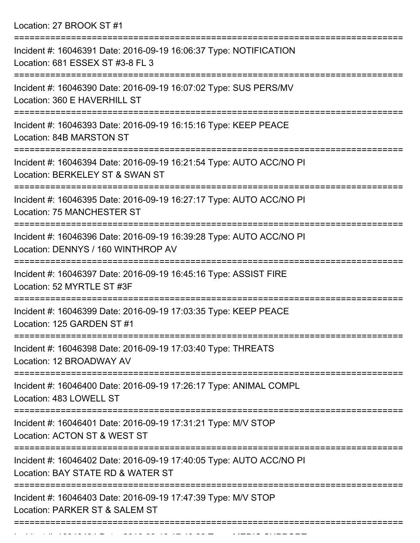Location: 27 BROOK ST #1

| Incident #: 16046391 Date: 2016-09-19 16:06:37 Type: NOTIFICATION<br>Location: 681 ESSEX ST #3-8 FL 3                       |
|-----------------------------------------------------------------------------------------------------------------------------|
| Incident #: 16046390 Date: 2016-09-19 16:07:02 Type: SUS PERS/MV<br>Location: 360 E HAVERHILL ST                            |
| Incident #: 16046393 Date: 2016-09-19 16:15:16 Type: KEEP PEACE<br>Location: 84B MARSTON ST                                 |
| Incident #: 16046394 Date: 2016-09-19 16:21:54 Type: AUTO ACC/NO PI<br>Location: BERKELEY ST & SWAN ST                      |
| ===============<br>Incident #: 16046395 Date: 2016-09-19 16:27:17 Type: AUTO ACC/NO PI<br><b>Location: 75 MANCHESTER ST</b> |
| Incident #: 16046396 Date: 2016-09-19 16:39:28 Type: AUTO ACC/NO PI<br>Location: DENNYS / 160 WINTHROP AV                   |
| Incident #: 16046397 Date: 2016-09-19 16:45:16 Type: ASSIST FIRE<br>Location: 52 MYRTLE ST #3F                              |
| Incident #: 16046399 Date: 2016-09-19 17:03:35 Type: KEEP PEACE<br>Location: 125 GARDEN ST #1                               |
| Incident #: 16046398 Date: 2016-09-19 17:03:40 Type: THREATS<br>Location: 12 BROADWAY AV                                    |
| Incident #: 16046400 Date: 2016-09-19 17:26:17 Type: ANIMAL COMPL<br>Location: 483 LOWELL ST                                |
| Incident #: 16046401 Date: 2016-09-19 17:31:21 Type: M/V STOP<br>Location: ACTON ST & WEST ST                               |
| Incident #: 16046402 Date: 2016-09-19 17:40:05 Type: AUTO ACC/NO PI<br>Location: BAY STATE RD & WATER ST                    |
| Incident #: 16046403 Date: 2016-09-19 17:47:39 Type: M/V STOP<br>Location: PARKER ST & SALEM ST                             |
|                                                                                                                             |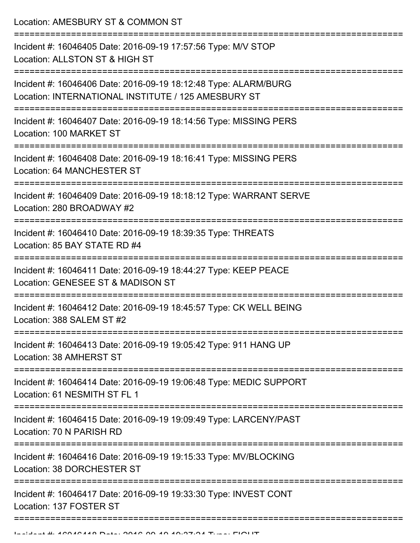Location: AMESBURY ST & COMMON ST

| Incident #: 16046405 Date: 2016-09-19 17:57:56 Type: M/V STOP<br>Location: ALLSTON ST & HIGH ST                        |
|------------------------------------------------------------------------------------------------------------------------|
| Incident #: 16046406 Date: 2016-09-19 18:12:48 Type: ALARM/BURG<br>Location: INTERNATIONAL INSTITUTE / 125 AMESBURY ST |
| Incident #: 16046407 Date: 2016-09-19 18:14:56 Type: MISSING PERS<br>Location: 100 MARKET ST                           |
| Incident #: 16046408 Date: 2016-09-19 18:16:41 Type: MISSING PERS<br>Location: 64 MANCHESTER ST                        |
| Incident #: 16046409 Date: 2016-09-19 18:18:12 Type: WARRANT SERVE<br>Location: 280 BROADWAY #2                        |
| Incident #: 16046410 Date: 2016-09-19 18:39:35 Type: THREATS<br>Location: 85 BAY STATE RD #4                           |
| Incident #: 16046411 Date: 2016-09-19 18:44:27 Type: KEEP PEACE<br>Location: GENESEE ST & MADISON ST                   |
| Incident #: 16046412 Date: 2016-09-19 18:45:57 Type: CK WELL BEING<br>Location: 388 SALEM ST #2                        |
| Incident #: 16046413 Date: 2016-09-19 19:05:42 Type: 911 HANG UP<br>Location: 38 AMHERST ST                            |
| Incident #: 16046414 Date: 2016-09-19 19:06:48 Type: MEDIC SUPPORT<br>Location: 61 NESMITH ST FL 1                     |
| Incident #: 16046415 Date: 2016-09-19 19:09:49 Type: LARCENY/PAST<br>Location: 70 N PARISH RD                          |
| Incident #: 16046416 Date: 2016-09-19 19:15:33 Type: MV/BLOCKING<br>Location: 38 DORCHESTER ST                         |
| Incident #: 16046417 Date: 2016-09-19 19:33:30 Type: INVEST CONT<br>Location: 137 FOSTER ST                            |
|                                                                                                                        |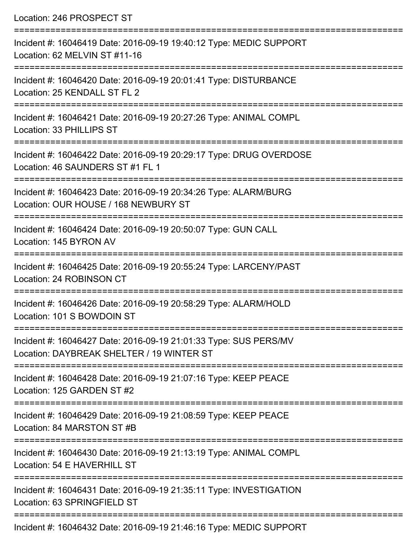| Location: 246 PROSPECT ST                                                                                                                       |
|-------------------------------------------------------------------------------------------------------------------------------------------------|
| Incident #: 16046419 Date: 2016-09-19 19:40:12 Type: MEDIC SUPPORT<br>Location: 62 MELVIN ST #11-16<br>==================================       |
| Incident #: 16046420 Date: 2016-09-19 20:01:41 Type: DISTURBANCE<br>Location: 25 KENDALL ST FL 2<br>:====================<br>------------------ |
| Incident #: 16046421 Date: 2016-09-19 20:27:26 Type: ANIMAL COMPL<br>Location: 33 PHILLIPS ST                                                   |
| Incident #: 16046422 Date: 2016-09-19 20:29:17 Type: DRUG OVERDOSE<br>Location: 46 SAUNDERS ST #1 FL 1                                          |
| Incident #: 16046423 Date: 2016-09-19 20:34:26 Type: ALARM/BURG<br>Location: OUR HOUSE / 168 NEWBURY ST                                         |
| Incident #: 16046424 Date: 2016-09-19 20:50:07 Type: GUN CALL<br>Location: 145 BYRON AV                                                         |
| Incident #: 16046425 Date: 2016-09-19 20:55:24 Type: LARCENY/PAST<br>Location: 24 ROBINSON CT                                                   |
| Incident #: 16046426 Date: 2016-09-19 20:58:29 Type: ALARM/HOLD<br>Location: 101 S BOWDOIN ST                                                   |
| Incident #: 16046427 Date: 2016-09-19 21:01:33 Type: SUS PERS/MV<br>Location: DAYBREAK SHELTER / 19 WINTER ST                                   |
| Incident #: 16046428 Date: 2016-09-19 21:07:16 Type: KEEP PEACE<br>Location: 125 GARDEN ST #2                                                   |
| Incident #: 16046429 Date: 2016-09-19 21:08:59 Type: KEEP PEACE<br>Location: 84 MARSTON ST #B                                                   |
| Incident #: 16046430 Date: 2016-09-19 21:13:19 Type: ANIMAL COMPL<br>Location: 54 E HAVERHILL ST                                                |
| Incident #: 16046431 Date: 2016-09-19 21:35:11 Type: INVESTIGATION<br>Location: 63 SPRINGFIELD ST                                               |
|                                                                                                                                                 |

Incident #: 16046432 Date: 2016-09-19 21:46:16 Type: MEDIC SUPPORT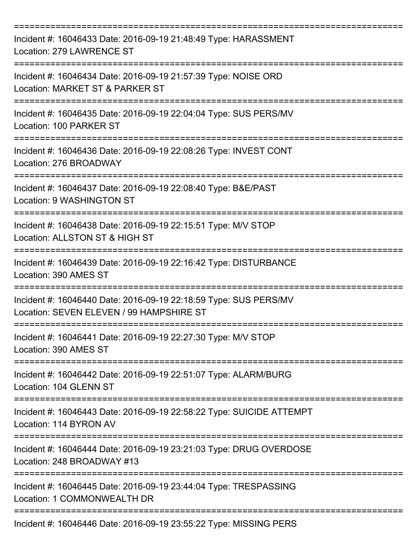| Incident #: 16046433 Date: 2016-09-19 21:48:49 Type: HARASSMENT<br>Location: 279 LAWRENCE ST                                                                 |
|--------------------------------------------------------------------------------------------------------------------------------------------------------------|
| Incident #: 16046434 Date: 2016-09-19 21:57:39 Type: NOISE ORD<br>Location: MARKET ST & PARKER ST                                                            |
| Incident #: 16046435 Date: 2016-09-19 22:04:04 Type: SUS PERS/MV<br>Location: 100 PARKER ST                                                                  |
| Incident #: 16046436 Date: 2016-09-19 22:08:26 Type: INVEST CONT<br>Location: 276 BROADWAY                                                                   |
| Incident #: 16046437 Date: 2016-09-19 22:08:40 Type: B&E/PAST<br>Location: 9 WASHINGTON ST                                                                   |
| Incident #: 16046438 Date: 2016-09-19 22:15:51 Type: M/V STOP<br>Location: ALLSTON ST & HIGH ST                                                              |
| Incident #: 16046439 Date: 2016-09-19 22:16:42 Type: DISTURBANCE<br>Location: 390 AMES ST                                                                    |
| Incident #: 16046440 Date: 2016-09-19 22:18:59 Type: SUS PERS/MV<br>Location: SEVEN ELEVEN / 99 HAMPSHIRE ST                                                 |
| Incident #: 16046441 Date: 2016-09-19 22:27:30 Type: M/V STOP<br>Location: 390 AMES ST                                                                       |
| Incident #: 16046442 Date: 2016-09-19 22:51:07 Type: ALARM/BURG<br>Location: 104 GLENN ST                                                                    |
| Incident #: 16046443 Date: 2016-09-19 22:58:22 Type: SUICIDE ATTEMPT<br>Location: 114 BYRON AV                                                               |
| ----------------------------<br>------------------------<br>Incident #: 16046444 Date: 2016-09-19 23:21:03 Type: DRUG OVERDOSE<br>Location: 248 BROADWAY #13 |
| Incident #: 16046445 Date: 2016-09-19 23:44:04 Type: TRESPASSING<br>Location: 1 COMMONWEALTH DR                                                              |
| Incident #: 16046446 Date: 2016-09-19 23:55:22 Type: MISSING PERS                                                                                            |